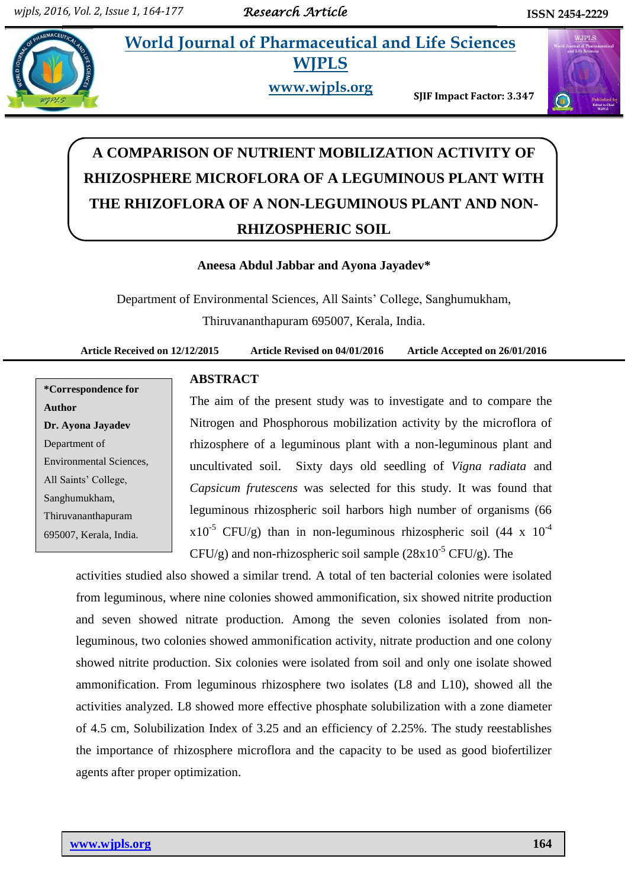**World Journal of Pharmaceutical and Life Sciences** 



**WJPLS www.wjpls.org** 

**SJIF Impact Factor: 3.347**



# **A COMPARISON OF NUTRIENT MOBILIZATION ACTIVITY OF RHIZOSPHERE MICROFLORA OF A LEGUMINOUS PLANT WITH THE RHIZOFLORA OF A NON-LEGUMINOUS PLANT AND NON-RHIZOSPHERIC SOIL**

# **Aneesa Abdul Jabbar and Ayona Jayadev\***

Department of Environmental Sciences, All Saints' College, Sanghumukham, Thiruvananthapuram 695007, Kerala, India.

**Article Received on 12/12/2015 Article Revised on 04/01/2016 Article Accepted on 26/01/2016**

**\*Correspondence for Author Dr. Ayona Jayadev** Department of Environmental Sciences, All Saints' College, Sanghumukham, Thiruvananthapuram 695007, Kerala, India.

# **ABSTRACT**

The aim of the present study was to investigate and to compare the Nitrogen and Phosphorous mobilization activity by the microflora of rhizosphere of a leguminous plant with a non-leguminous plant and uncultivated soil. Sixty days old seedling of *Vigna radiata* and *Capsicum frutescens* was selected for this study. It was found that leguminous rhizospheric soil harbors high number of organisms (66  $x10^{-5}$  CFU/g) than in non-leguminous rhizospheric soil (44 x 10<sup>-4</sup>)  $CFU/g$ ) and non-rhizospheric soil sample  $(28x10^{-5} CFU/g)$ . The

activities studied also showed a similar trend. A total of ten bacterial colonies were isolated from leguminous, where nine colonies showed ammonification, six showed nitrite production and seven showed nitrate production. Among the seven colonies isolated from nonleguminous, two colonies showed ammonification activity, nitrate production and one colony showed nitrite production. Six colonies were isolated from soil and only one isolate showed ammonification. From leguminous rhizosphere two isolates (L8 and L10), showed all the activities analyzed. L8 showed more effective phosphate solubilization with a zone diameter of 4.5 cm, Solubilization Index of 3.25 and an efficiency of 2.25%. The study reestablishes the importance of rhizosphere microflora and the capacity to be used as good biofertilizer agents after proper optimization.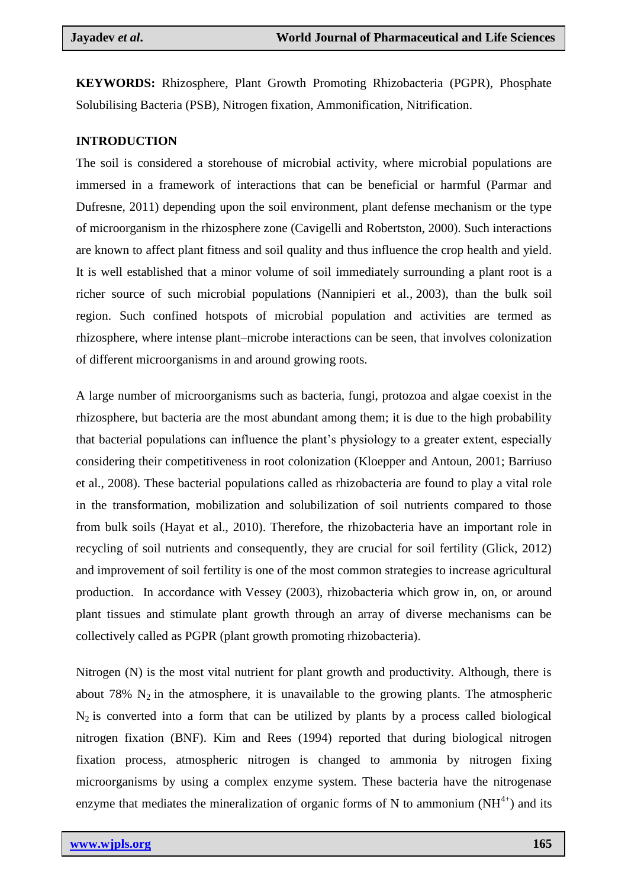**KEYWORDS:** Rhizosphere, Plant Growth Promoting Rhizobacteria (PGPR), Phosphate Solubilising Bacteria (PSB), Nitrogen fixation, Ammonification, Nitrification.

# **INTRODUCTION**

The soil is considered a storehouse of microbial activity, where microbial populations are immersed in a framework of interactions that can be beneficial or harmful (Parmar and Dufresne, 2011) depending upon the soil environment, plant defense mechanism or the type of microorganism in the rhizosphere zone (Cavigelli and Robertston, 2000). Such interactions are known to affect plant fitness and soil quality and thus influence the crop health and yield. It is well established that a minor volume of soil immediately surrounding a plant root is a richer source of such microbial populations (Nannipieri et al*.,* 2003), than the bulk soil region. Such confined hotspots of microbial population and activities are termed as rhizosphere, where intense plant–microbe interactions can be seen, that involves colonization of different microorganisms in and around growing roots.

A large number of microorganisms such as bacteria, fungi, protozoa and algae coexist in the rhizosphere, but bacteria are the most abundant among them; it is due to the high probability that bacterial populations can influence the plant's physiology to a greater extent, especially considering their competitiveness in root colonization (Kloepper and Antoun, 2001; Barriuso et al., 2008). These bacterial populations called as rhizobacteria are found to play a vital role in the transformation, mobilization and solubilization of soil nutrients compared to those from bulk soils (Hayat et al., 2010). Therefore, the rhizobacteria have an important role in recycling of soil nutrients and consequently, they are crucial for soil fertility (Glick, 2012) and improvement of soil fertility is one of the most common strategies to increase agricultural production. In accordance with Vessey (2003), rhizobacteria which grow in, on, or around plant tissues and stimulate plant growth through an array of diverse mechanisms can be collectively called as PGPR (plant growth promoting rhizobacteria).

Nitrogen (N) is the most vital nutrient for plant growth and productivity. Although, there is about 78%  $N_2$  in the atmosphere, it is unavailable to the growing plants. The atmospheric  $N_2$  is converted into a form that can be utilized by plants by a process called biological nitrogen fixation (BNF). Kim and Rees (1994) reported that during biological nitrogen fixation process, atmospheric nitrogen is changed to ammonia by nitrogen fixing microorganisms by using a complex enzyme system. These bacteria have the nitrogenase enzyme that mediates the mineralization of organic forms of N to ammonium  $(NH<sup>4+</sup>)$  and its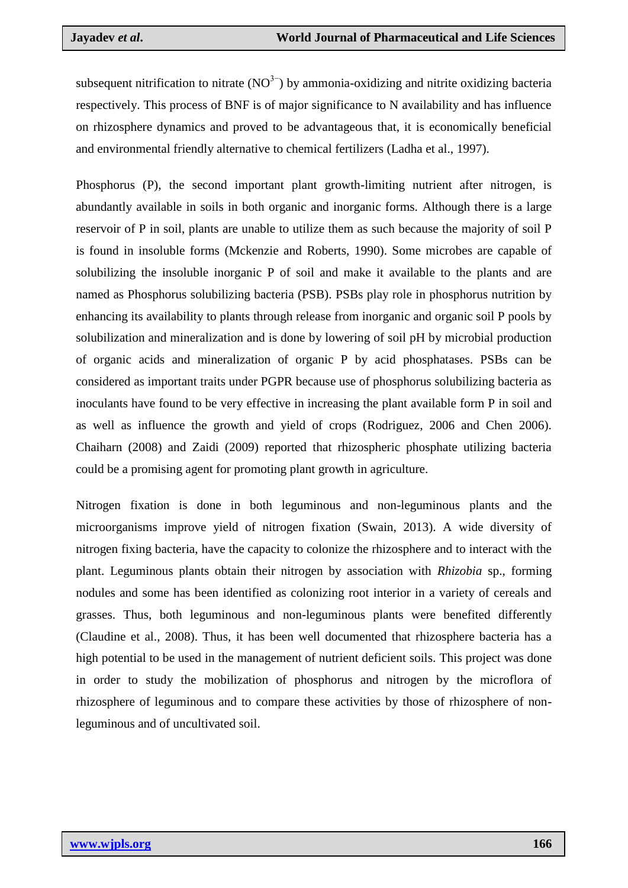subsequent nitrification to nitrate  $(NO<sup>3−</sup>)$  by ammonia-oxidizing and nitrite oxidizing bacteria respectively. This process of BNF is of major significance to N availability and has influence on rhizosphere dynamics and proved to be advantageous that, it is economically beneficial and environmental friendly alternative to chemical fertilizers (Ladha et al., 1997).

Phosphorus (P), the second important plant growth-limiting nutrient after nitrogen, is abundantly available in soils in both organic and inorganic forms. Although there is a large reservoir of P in soil, plants are unable to utilize them as such because the majority of soil P is found in insoluble forms (Mckenzie and Roberts, 1990). Some microbes are capable of solubilizing the insoluble inorganic P of soil and make it available to the plants and are named as Phosphorus solubilizing bacteria (PSB). PSBs play role in phosphorus nutrition by enhancing its availability to plants through release from inorganic and organic soil P pools by solubilization and mineralization and is done by lowering of soil pH by microbial production of organic acids and mineralization of organic P by acid phosphatases. PSBs can be considered as important traits under PGPR because use of phosphorus solubilizing bacteria as inoculants have found to be very effective in increasing the plant available form P in soil and as well as influence the growth and yield of crops (Rodriguez, 2006 and Chen 2006). Chaiharn (2008) and Zaidi (2009) reported that rhizospheric phosphate utilizing bacteria could be a promising agent for promoting plant growth in agriculture.

Nitrogen fixation is done in both leguminous and non-leguminous plants and the microorganisms improve yield of nitrogen fixation (Swain, 2013). A wide diversity of nitrogen fixing bacteria, have the capacity to colonize the rhizosphere and to interact with the plant. Leguminous plants obtain their nitrogen by association with *Rhizobia* sp., forming nodules and some has been identified as colonizing root interior in a variety of cereals and grasses. Thus, both leguminous and non-leguminous plants were benefited differently (Claudine et al., 2008). Thus, it has been well documented that rhizosphere bacteria has a high potential to be used in the management of nutrient deficient soils. This project was done in order to study the mobilization of phosphorus and nitrogen by the microflora of rhizosphere of leguminous and to compare these activities by those of rhizosphere of nonleguminous and of uncultivated soil.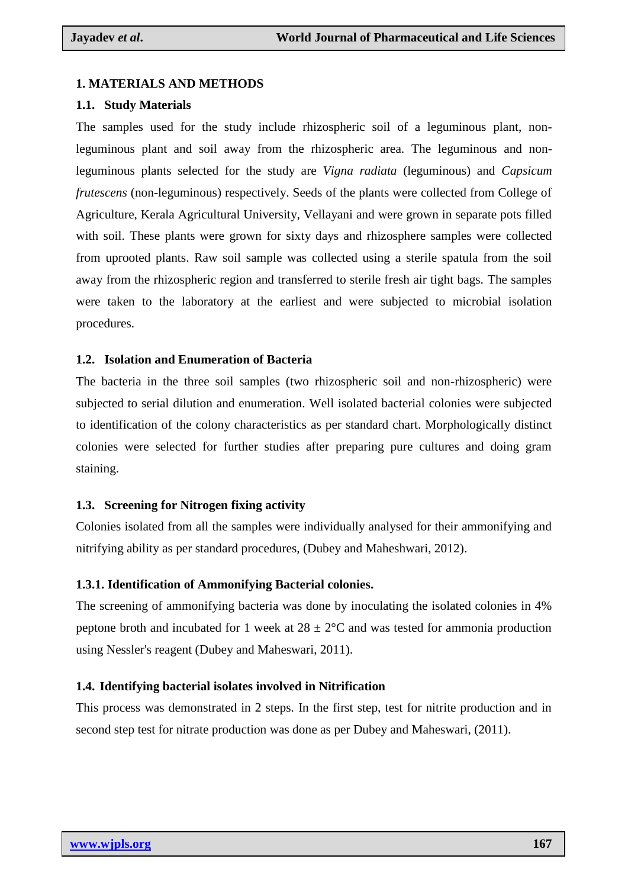# **1. MATERIALS AND METHODS**

## **1.1. Study Materials**

The samples used for the study include rhizospheric soil of a leguminous plant, nonleguminous plant and soil away from the rhizospheric area. The leguminous and nonleguminous plants selected for the study are *Vigna radiata* (leguminous) and *Capsicum frutescens* (non-leguminous) respectively. Seeds of the plants were collected from College of Agriculture, Kerala Agricultural University, Vellayani and were grown in separate pots filled with soil. These plants were grown for sixty days and rhizosphere samples were collected from uprooted plants. Raw soil sample was collected using a sterile spatula from the soil away from the rhizospheric region and transferred to sterile fresh air tight bags. The samples were taken to the laboratory at the earliest and were subjected to microbial isolation procedures.

# **1.2. Isolation and Enumeration of Bacteria**

The bacteria in the three soil samples (two rhizospheric soil and non-rhizospheric) were subjected to serial dilution and enumeration. Well isolated bacterial colonies were subjected to identification of the colony characteristics as per standard chart. Morphologically distinct colonies were selected for further studies after preparing pure cultures and doing gram staining.

## **1.3. Screening for Nitrogen fixing activity**

Colonies isolated from all the samples were individually analysed for their ammonifying and nitrifying ability as per standard procedures, (Dubey and Maheshwari, 2012).

# **1.3.1. Identification of Ammonifying Bacterial colonies.**

The screening of ammonifying bacteria was done by inoculating the isolated colonies in 4% peptone broth and incubated for 1 week at  $28 \pm 2^{\circ}$ C and was tested for ammonia production using Nessler's reagent (Dubey and Maheswari, 2011).

## **1.4. Identifying bacterial isolates involved in Nitrification**

This process was demonstrated in 2 steps. In the first step, test for nitrite production and in second step test for nitrate production was done as per Dubey and Maheswari, (2011).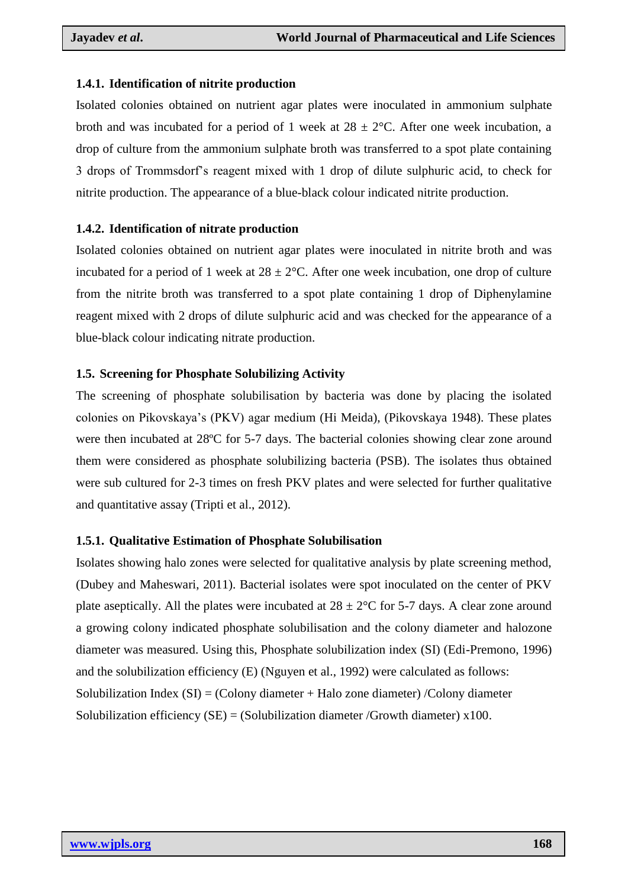# **1.4.1. Identification of nitrite production**

Isolated colonies obtained on nutrient agar plates were inoculated in ammonium sulphate broth and was incubated for a period of 1 week at  $28 \pm 2$ °C. After one week incubation, a drop of culture from the ammonium sulphate broth was transferred to a spot plate containing 3 drops of Trommsdorf's reagent mixed with 1 drop of dilute sulphuric acid, to check for nitrite production. The appearance of a blue-black colour indicated nitrite production.

# **1.4.2. Identification of nitrate production**

Isolated colonies obtained on nutrient agar plates were inoculated in nitrite broth and was incubated for a period of 1 week at  $28 \pm 2$ °C. After one week incubation, one drop of culture from the nitrite broth was transferred to a spot plate containing 1 drop of Diphenylamine reagent mixed with 2 drops of dilute sulphuric acid and was checked for the appearance of a blue-black colour indicating nitrate production.

# **1.5. Screening for Phosphate Solubilizing Activity**

The screening of phosphate solubilisation by bacteria was done by placing the isolated colonies on Pikovskaya's (PKV) agar medium (Hi Meida), (Pikovskaya 1948). These plates were then incubated at 28ºC for 5-7 days. The bacterial colonies showing clear zone around them were considered as phosphate solubilizing bacteria (PSB). The isolates thus obtained were sub cultured for 2-3 times on fresh PKV plates and were selected for further qualitative and quantitative assay (Tripti et al., 2012).

## **1.5.1. Qualitative Estimation of Phosphate Solubilisation**

Isolates showing halo zones were selected for qualitative analysis by plate screening method, (Dubey and Maheswari, 2011). Bacterial isolates were spot inoculated on the center of PKV plate aseptically. All the plates were incubated at  $28 \pm 2^{\circ}$ C for 5-7 days. A clear zone around a growing colony indicated phosphate solubilisation and the colony diameter and halozone diameter was measured. Using this, Phosphate solubilization index (SI) (Edi-Premono, 1996) and the solubilization efficiency (E) (Nguyen et al., 1992) were calculated as follows: Solubilization Index  $(SI) = (Colony diameter + Halo zone diameter) /Colony diameter$ Solubilization efficiency  $(SE) = (Solution$  diameter /Growth diameter) x100.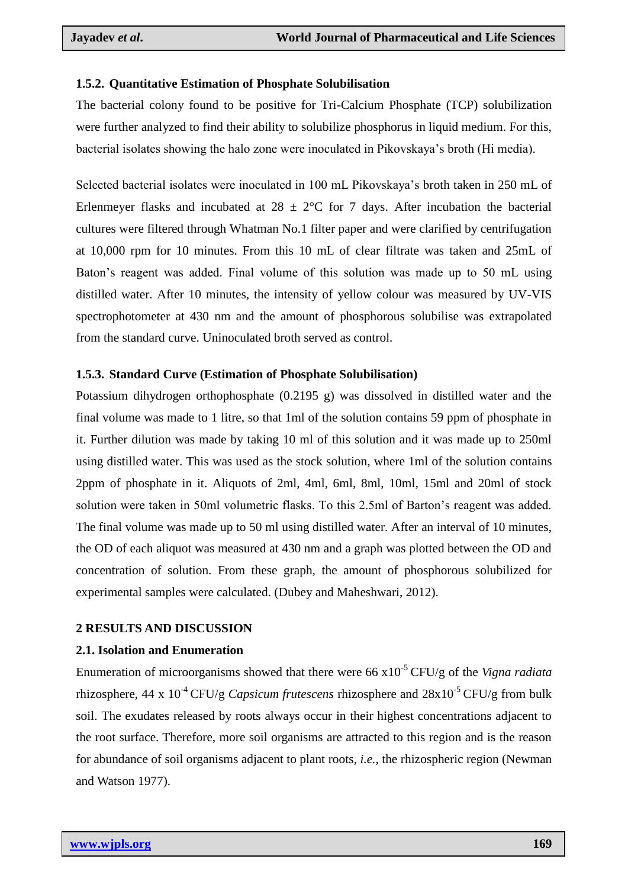## **1.5.2. Quantitative Estimation of Phosphate Solubilisation**

The bacterial colony found to be positive for Tri-Calcium Phosphate (TCP) solubilization were further analyzed to find their ability to solubilize phosphorus in liquid medium. For this, bacterial isolates showing the halo zone were inoculated in Pikovskaya's broth (Hi media).

Selected bacterial isolates were inoculated in 100 mL Pikovskaya's broth taken in 250 mL of Erlenmeyer flasks and incubated at  $28 \pm 2^{\circ}\text{C}$  for 7 days. After incubation the bacterial cultures were filtered through Whatman No.1 filter paper and were clarified by centrifugation at 10,000 rpm for 10 minutes. From this 10 mL of clear filtrate was taken and 25mL of Baton's reagent was added. Final volume of this solution was made up to 50 mL using distilled water. After 10 minutes, the intensity of yellow colour was measured by UV-VIS spectrophotometer at 430 nm and the amount of phosphorous solubilise was extrapolated from the standard curve. Uninoculated broth served as control.

## **1.5.3. Standard Curve (Estimation of Phosphate Solubilisation)**

Potassium dihydrogen orthophosphate (0.2195 g) was dissolved in distilled water and the final volume was made to 1 litre, so that 1ml of the solution contains 59 ppm of phosphate in it. Further dilution was made by taking 10 ml of this solution and it was made up to 250ml using distilled water. This was used as the stock solution, where 1ml of the solution contains 2ppm of phosphate in it. Aliquots of 2ml, 4ml, 6ml, 8ml, 10ml, 15ml and 20ml of stock solution were taken in 50ml volumetric flasks. To this 2.5ml of Barton's reagent was added. The final volume was made up to 50 ml using distilled water. After an interval of 10 minutes, the OD of each aliquot was measured at 430 nm and a graph was plotted between the OD and concentration of solution. From these graph, the amount of phosphorous solubilized for experimental samples were calculated. (Dubey and Maheshwari, 2012).

## **2 RESULTS AND DISCUSSION**

#### **2.1. Isolation and Enumeration**

Enumeration of microorganisms showed that there were 66 x10-5 CFU/g of the *Vigna radiata*  rhizosphere,  $44 \times 10^{-4}$  CFU/g *Capsicum frutescens* rhizosphere and  $28 \times 10^{-5}$  CFU/g from bulk soil. The exudates released by roots always occur in their highest concentrations adjacent to the root surface. Therefore, more soil organisms are attracted to this region and is the reason for abundance of soil organisms adjacent to plant roots*, i.e.,* the rhizospheric region (Newman and Watson 1977).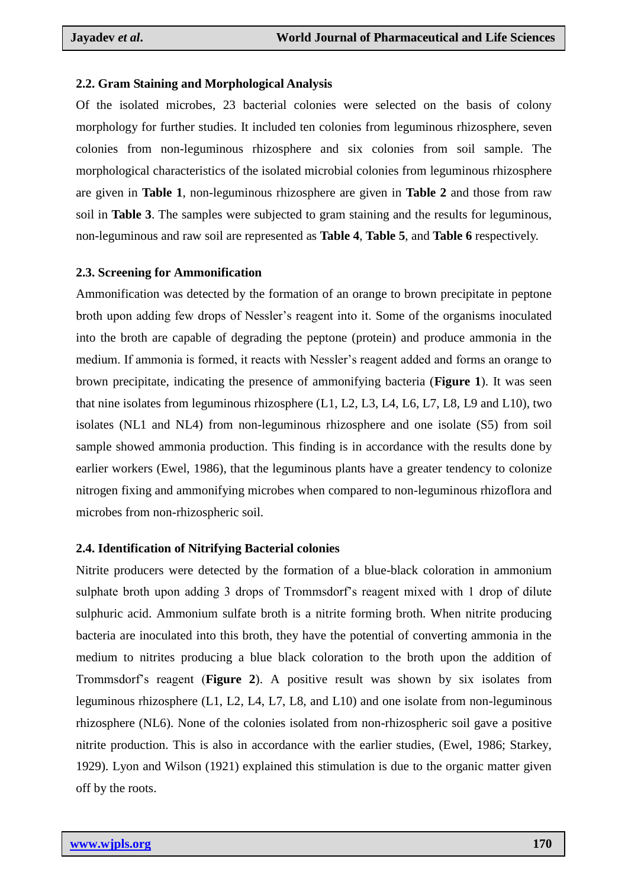# **2.2. Gram Staining and Morphological Analysis**

Of the isolated microbes, 23 bacterial colonies were selected on the basis of colony morphology for further studies. It included ten colonies from leguminous rhizosphere, seven colonies from non-leguminous rhizosphere and six colonies from soil sample. The morphological characteristics of the isolated microbial colonies from leguminous rhizosphere are given in **Table 1**, non-leguminous rhizosphere are given in **Table 2** and those from raw soil in **Table 3**. The samples were subjected to gram staining and the results for leguminous, non-leguminous and raw soil are represented as **Table 4**, **Table 5**, and **Table 6** respectively.

# **2.3. Screening for Ammonification**

Ammonification was detected by the formation of an orange to brown precipitate in peptone broth upon adding few drops of Nessler's reagent into it. Some of the organisms inoculated into the broth are capable of degrading the peptone (protein) and produce ammonia in the medium. If ammonia is formed, it reacts with Nessler's reagent added and forms an orange to brown precipitate, indicating the presence of ammonifying bacteria (**Figure 1**). It was seen that nine isolates from leguminous rhizosphere (L1, L2, L3, L4, L6, L7, L8, L9 and L10), two isolates (NL1 and NL4) from non-leguminous rhizosphere and one isolate (S5) from soil sample showed ammonia production. This finding is in accordance with the results done by earlier workers (Ewel, 1986), that the leguminous plants have a greater tendency to colonize nitrogen fixing and ammonifying microbes when compared to non-leguminous rhizoflora and microbes from non-rhizospheric soil.

# **2.4. Identification of Nitrifying Bacterial colonies**

Nitrite producers were detected by the formation of a blue-black coloration in ammonium sulphate broth upon adding 3 drops of Trommsdorf's reagent mixed with 1 drop of dilute sulphuric acid. Ammonium sulfate broth is a nitrite forming broth. When nitrite producing bacteria are inoculated into this broth, they have the potential of converting ammonia in the medium to nitrites producing a blue black coloration to the broth upon the addition of Trommsdorf's reagent (**Figure 2**). A positive result was shown by six isolates from leguminous rhizosphere (L1, L2, L4, L7, L8, and L10) and one isolate from non-leguminous rhizosphere (NL6). None of the colonies isolated from non-rhizospheric soil gave a positive nitrite production. This is also in accordance with the earlier studies, (Ewel, 1986; Starkey, 1929). Lyon and Wilson (1921) explained this stimulation is due to the organic matter given off by the roots.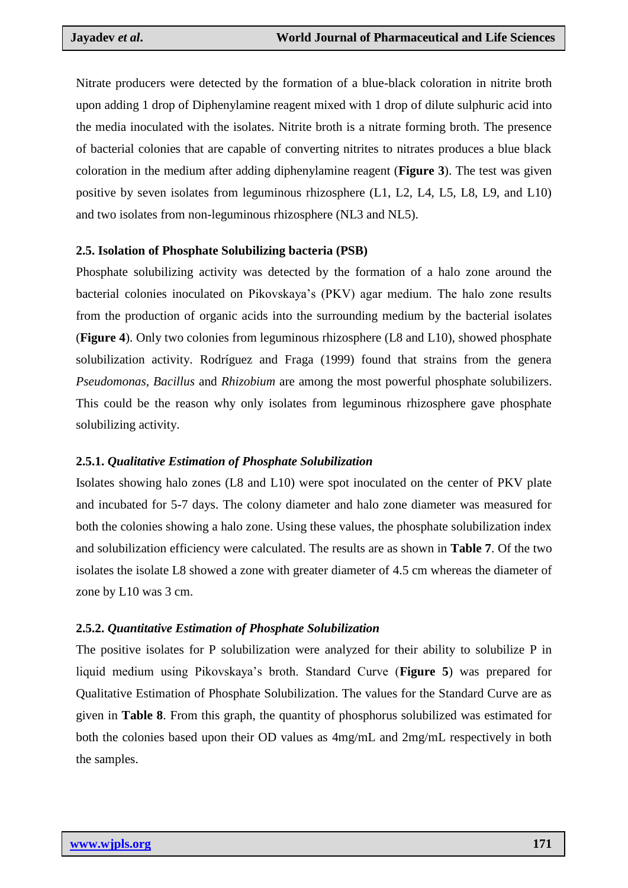Nitrate producers were detected by the formation of a blue-black coloration in nitrite broth upon adding 1 drop of Diphenylamine reagent mixed with 1 drop of dilute sulphuric acid into the media inoculated with the isolates. Nitrite broth is a nitrate forming broth. The presence of bacterial colonies that are capable of converting nitrites to nitrates produces a blue black coloration in the medium after adding diphenylamine reagent (**Figure 3**). The test was given positive by seven isolates from leguminous rhizosphere (L1, L2, L4, L5, L8, L9, and L10) and two isolates from non-leguminous rhizosphere (NL3 and NL5).

# **2.5. Isolation of Phosphate Solubilizing bacteria (PSB)**

Phosphate solubilizing activity was detected by the formation of a halo zone around the bacterial colonies inoculated on Pikovskaya's (PKV) agar medium. The halo zone results from the production of organic acids into the surrounding medium by the bacterial isolates (**Figure 4**). Only two colonies from leguminous rhizosphere (L8 and L10), showed phosphate solubilization activity. Rodríguez and Fraga (1999) found that strains from the genera *Pseudomonas, Bacillus* and *Rhizobium* are among the most powerful phosphate solubilizers. This could be the reason why only isolates from leguminous rhizosphere gave phosphate solubilizing activity.

# **2.5.1.** *Qualitative Estimation of Phosphate Solubilization*

Isolates showing halo zones (L8 and L10) were spot inoculated on the center of PKV plate and incubated for 5-7 days. The colony diameter and halo zone diameter was measured for both the colonies showing a halo zone. Using these values, the phosphate solubilization index and solubilization efficiency were calculated. The results are as shown in **Table 7**. Of the two isolates the isolate L8 showed a zone with greater diameter of 4.5 cm whereas the diameter of zone by L10 was 3 cm.

# **2.5.2.** *Quantitative Estimation of Phosphate Solubilization*

The positive isolates for P solubilization were analyzed for their ability to solubilize P in liquid medium using Pikovskaya's broth. Standard Curve (**Figure 5**) was prepared for Qualitative Estimation of Phosphate Solubilization. The values for the Standard Curve are as given in **Table 8**. From this graph, the quantity of phosphorus solubilized was estimated for both the colonies based upon their OD values as 4mg/mL and 2mg/mL respectively in both the samples.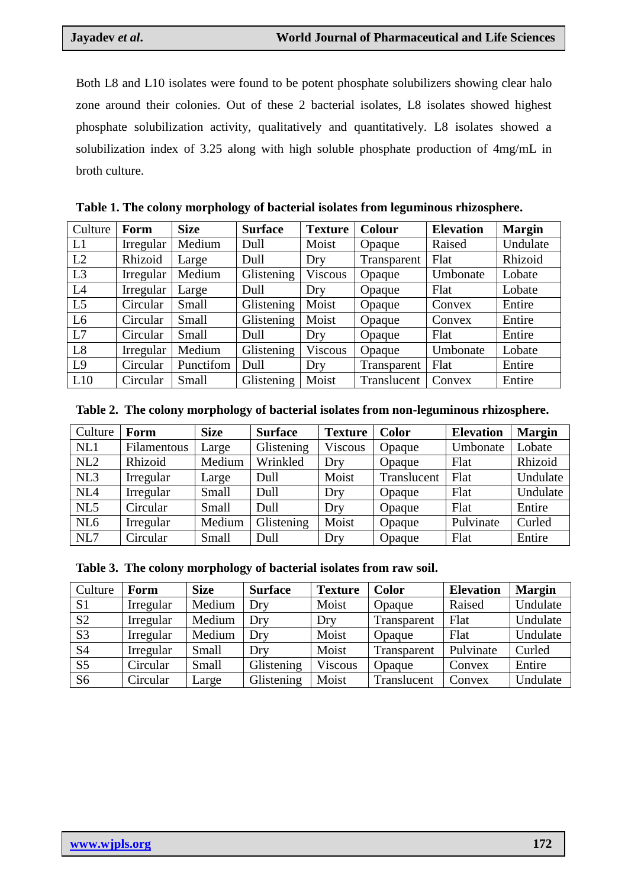Both L8 and L10 isolates were found to be potent phosphate solubilizers showing clear halo zone around their colonies. Out of these 2 bacterial isolates, L8 isolates showed highest phosphate solubilization activity, qualitatively and quantitatively. L8 isolates showed a solubilization index of 3.25 along with high soluble phosphate production of 4mg/mL in broth culture.

| Culture        | Form      | <b>Size</b> | <b>Surface</b> | <b>Texture</b> | <b>Colour</b> | <b>Elevation</b> | <b>Margin</b> |
|----------------|-----------|-------------|----------------|----------------|---------------|------------------|---------------|
| L1             | Irregular | Medium      | Dull           | Moist          | Opaque        | Raised           | Undulate      |
| L2             | Rhizoid   | Large       | Dull           | Dry            | Transparent   | Flat             | Rhizoid       |
| L <sub>3</sub> | Irregular | Medium      | Glistening     | Viscous        | Opaque        | Umbonate         | Lobate        |
| L4             | Irregular | Large       | Dull           | Dry            | Opaque        | Flat             | Lobate        |
| L <sub>5</sub> | Circular  | Small       | Glistening     | Moist          | Opaque        | Convex           | Entire        |
| L <sub>6</sub> | Circular  | Small       | Glistening     | Moist          | Opaque        | Convex           | Entire        |
| L7             | Circular  | Small       | Dull           | Dry            | Opaque        | Flat             | Entire        |
| L <sub>8</sub> | Irregular | Medium      | Glistening     | Viscous        | Opaque        | Umbonate         | Lobate        |
| L9             | Circular  | Punctifom   | Dull           | Dry            | Transparent   | Flat             | Entire        |
| L10            | Circular  | Small       | Glistening     | Moist          | Translucent   | Convex           | Entire        |

**Table 1. The colony morphology of bacterial isolates from leguminous rhizosphere.**

| Table 2. The colony morphology of bacterial isolates from non-leguminous rhizosphere. |
|---------------------------------------------------------------------------------------|
|---------------------------------------------------------------------------------------|

| Culture         | Form        | <b>Size</b> | <b>Surface</b> | <b>Texture</b> | Color       | <b>Elevation</b> | <b>Margin</b> |
|-----------------|-------------|-------------|----------------|----------------|-------------|------------------|---------------|
| NL1             | Filamentous | Large       | Glistening     | <b>Viscous</b> | Opaque      | Umbonate         | Lobate        |
| NL2             | Rhizoid     | Medium      | Wrinkled       | Dry            | Opaque      | Flat             | Rhizoid       |
| NL3             | Irregular   | Large       | Dull           | Moist          | Translucent | Flat             | Undulate      |
| NL4             | Irregular   | Small       | Dull           | Dry            | Opaque      | Flat             | Undulate      |
| NL5             | Circular    | Small       | Dull           | Dry            | Opaque      | Flat             | Entire        |
| NL <sub>6</sub> | Irregular   | Medium      | Glistening     | Moist          | Opaque      | Pulvinate        | Curled        |
| NL7             | Circular    | Small       | Dull           | Dry            | Opaque      | Flat             | Entire        |

|  | Table 3. The colony morphology of bacterial isolates from raw soil. |  |  |  |
|--|---------------------------------------------------------------------|--|--|--|
|  |                                                                     |  |  |  |

| Culture        | Form      | <b>Size</b> | <b>Surface</b> | <b>Texture</b> | <b>Color</b> | <b>Elevation</b> | <b>Margin</b> |
|----------------|-----------|-------------|----------------|----------------|--------------|------------------|---------------|
| S <sub>1</sub> | Irregular | Medium      | Dry            | Moist          | Opaque       | Raised           | Undulate      |
| S <sub>2</sub> | Irregular | Medium      | Dry            | Dry            | Transparent  | Flat             | Undulate      |
| S <sub>3</sub> | Irregular | Medium      | Dry            | Moist          | Opaque       | Flat             | Undulate      |
| S <sub>4</sub> | Irregular | Small       | Dry            | Moist          | Transparent  | Pulvinate        | Curled        |
| S <sub>5</sub> | Circular  | Small       | Glistening     | Viscous        | Opaque       | Convex           | Entire        |
| S <sub>6</sub> | Circular  | Large       | Glistening     | Moist          | Translucent  | Convex           | Undulate      |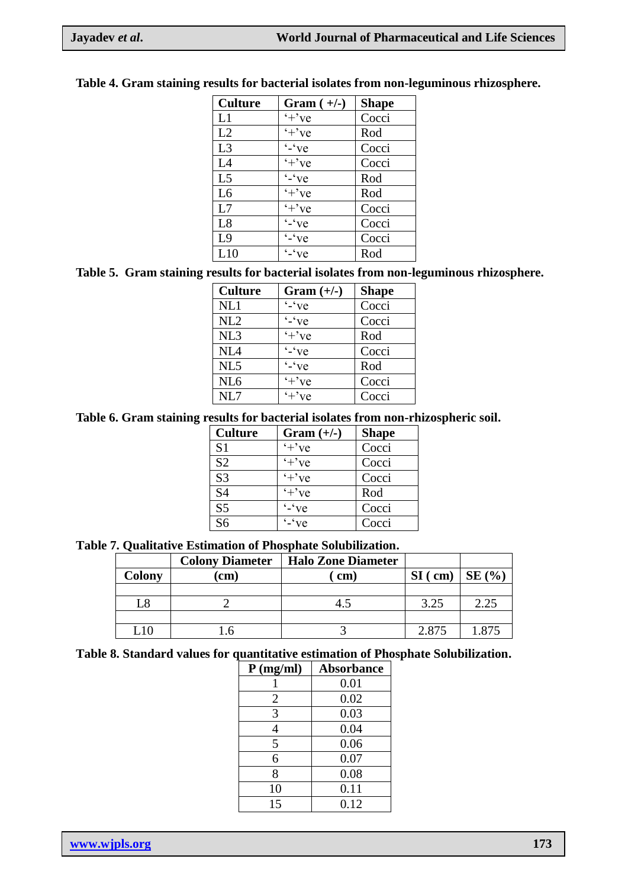| <b>Culture</b> | Gram $(+/-)$                | <b>Shape</b> |
|----------------|-----------------------------|--------------|
| L1             | $+$ 've                     | Cocci        |
| L2             | $+$ 've                     | Rod          |
| L3             | $\cdot$ - $\cdot$ ve        | Cocci        |
| L4             | $+$ 've                     | Cocci        |
| L <sub>5</sub> | $\sqrt[4]{-}$ $\sqrt[4]{e}$ | Rod          |
| L <sub>6</sub> | $'+$ 've                    | Rod          |
| L7             | $'+$ 've                    | Cocci        |
| L8             | $\cdot$ $\cdot$ ve          | Cocci        |
| L <sub>9</sub> | $\cdot$ - $\cdot$ ve        | Cocci        |
| L10            | $\cdot$ - $\cdot$ ve        | Rod          |

# **Table 4. Gram staining results for bacterial isolates from non-leguminous rhizosphere.**

# **Table 5. Gram staining results for bacterial isolates from non-leguminous rhizosphere.**

| <b>Culture</b>  | $Gram (+/-)$         | <b>Shape</b> |
|-----------------|----------------------|--------------|
| NL1             | $\cdot$ - $\cdot$ ve | Cocci        |
| NL <sub>2</sub> | $\cdot$ $\cdot$ ve   | Cocci        |
| NL3             | $+$ 've              | Rod          |
| NL4             | $\cdot$ $\cdot$ ve   | Cocci        |
| NL5             | $\cdot$ $\cdot$ ve   | Rod          |
| NL <sub>6</sub> | $+$ 've              | Cocci        |
| NL7             | $+$ 've              | Cocci        |

# **Table 6. Gram staining results for bacterial isolates from non-rhizospheric soil.**

| <b>Culture</b>  | Gram $(+/-)$         | <b>Shape</b> |
|-----------------|----------------------|--------------|
| S <sub>1</sub>  | $+$ 've              | Cocci        |
| S <sub>2</sub>  | $+$ 've              | Cocci        |
| S <sub>3</sub>  | $+$ 've              | Cocci        |
| <b>S4</b>       | $'+$ 've             | Rod          |
| $\overline{S5}$ | $\cdot$ - $\cdot$ ve | Cocci        |
| S <sub>6</sub>  | $\int$ - $\int$ ve   | Cocci        |

# **Table 7. Qualitative Estimation of Phosphate Solubilization.**

|        | <b>Colony Diameter</b> | <b>Halo Zone Diameter</b> |           |                 |
|--------|------------------------|---------------------------|-----------|-----------------|
| Colony | cm)                    | $\mathbf{cm}$             | $SI$ (cm) | <b>SE</b> (%)   |
|        |                        |                           |           |                 |
|        |                        |                           | 3.25      | 2.25            |
|        |                        |                           |           |                 |
|        |                        |                           | 2.875     | $^{\circ}$ .87: |

# **Table 8. Standard values for quantitative estimation of Phosphate Solubilization.**

| $P$ (mg/ml) | <b>Absorbance</b> |
|-------------|-------------------|
|             | 0.01              |
| 2           | 0.02              |
| 3           | 0.03              |
| 4           | 0.04              |
| 5           | 0.06              |
| 6           | 0.07              |
| 8           | 0.08              |
| 10          | 0.11              |
| 15          | 0.12              |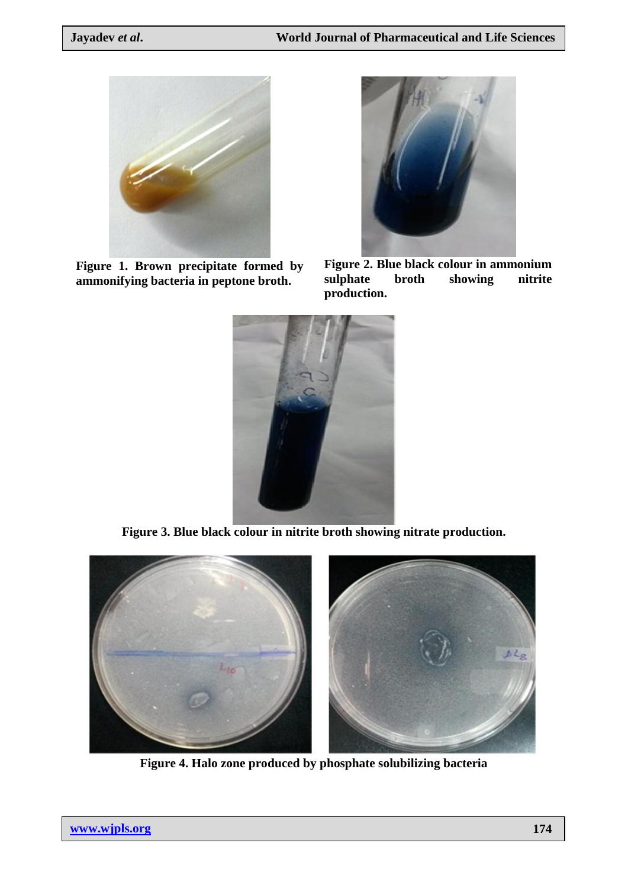

**Figure 1. Brown precipitate formed by ammonifying bacteria in peptone broth.**



**Figure 2. Blue black colour in ammonium sulphate broth showing nitrite production.**



**Figure 3. Blue black colour in nitrite broth showing nitrate production.**



**Figure 4. Halo zone produced by phosphate solubilizing bacteria**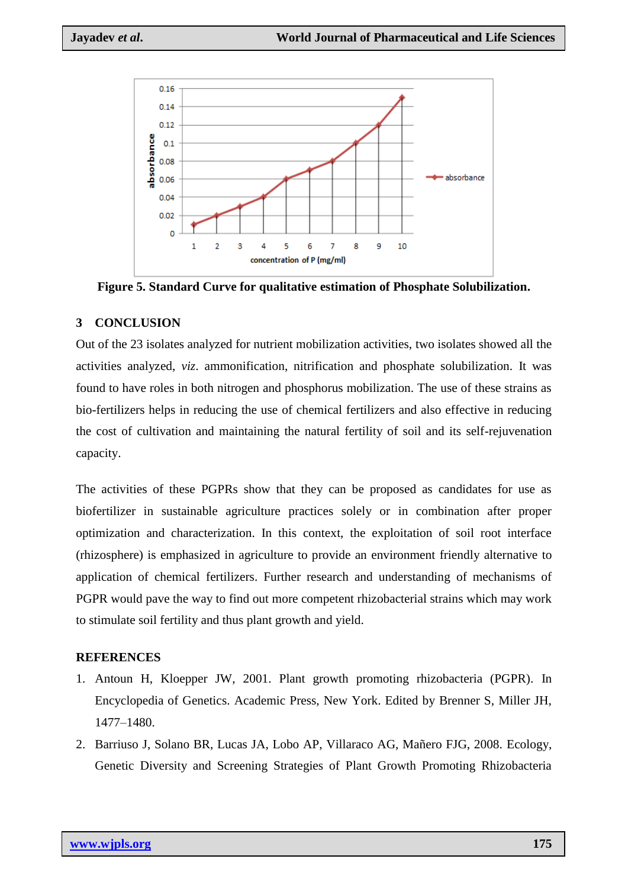

**Figure 5. Standard Curve for qualitative estimation of Phosphate Solubilization.**

# **3 CONCLUSION**

Out of the 23 isolates analyzed for nutrient mobilization activities, two isolates showed all the activities analyzed, *viz*. ammonification, nitrification and phosphate solubilization. It was found to have roles in both nitrogen and phosphorus mobilization. The use of these strains as bio-fertilizers helps in reducing the use of chemical fertilizers and also effective in reducing the cost of cultivation and maintaining the natural fertility of soil and its self-rejuvenation capacity.

The activities of these PGPRs show that they can be proposed as candidates for use as biofertilizer in sustainable agriculture practices solely or in combination after proper optimization and characterization. In this context, the exploitation of soil root interface (rhizosphere) is emphasized in agriculture to provide an environment friendly alternative to application of chemical fertilizers. Further research and understanding of mechanisms of PGPR would pave the way to find out more competent rhizobacterial strains which may work to stimulate soil fertility and thus plant growth and yield.

# **REFERENCES**

- 1. Antoun H, Kloepper JW, 2001. Plant growth promoting rhizobacteria (PGPR). In Encyclopedia of Genetics. Academic Press, New York. Edited by Brenner S, Miller JH, 1477–1480.
- 2. Barriuso J, Solano BR, Lucas JA, Lobo AP, Villaraco AG, Mañero FJG, 2008. Ecology, Genetic Diversity and Screening Strategies of Plant Growth Promoting Rhizobacteria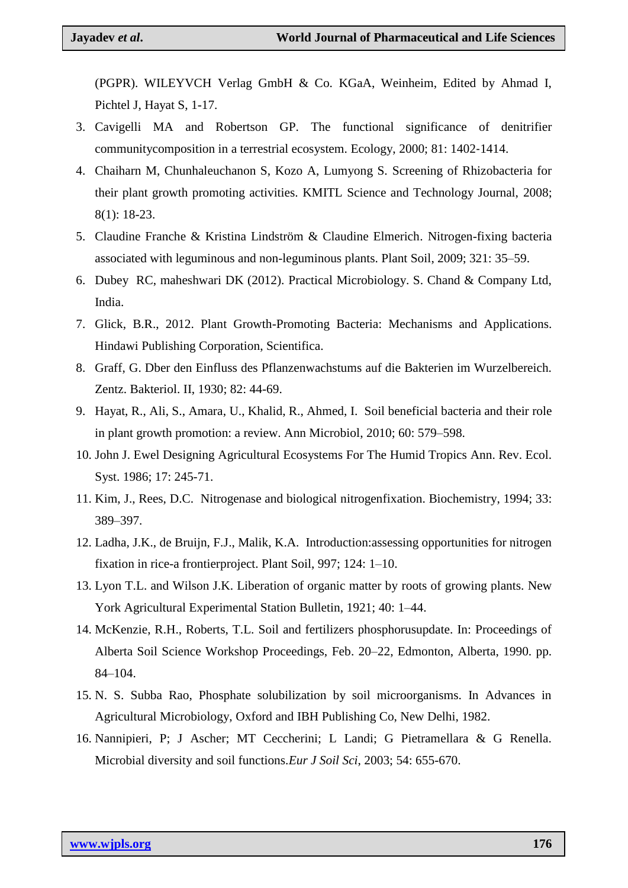(PGPR). WILEYVCH Verlag GmbH & Co. KGaA, Weinheim, Edited by Ahmad I, Pichtel J, Hayat S, 1-17.

- 3. Cavigelli MA and Robertson GP. The functional significance of denitrifier communitycomposition in a terrestrial ecosystem. Ecology, 2000; 81: 1402‐1414.
- 4. Chaiharn M, Chunhaleuchanon S, Kozo A, Lumyong S. Screening of Rhizobacteria for their plant growth promoting activities. KMITL Science and Technology Journal, 2008; 8(1): 18-23.
- 5. Claudine Franche & Kristina Lindström & Claudine Elmerich. Nitrogen-fixing bacteria associated with leguminous and non-leguminous plants. Plant Soil, 2009; 321: 35–59.
- 6. Dubey RC, maheshwari DK (2012). Practical Microbiology. S. Chand & Company Ltd, India.
- 7. Glick, B.R., 2012. Plant Growth-Promoting Bacteria: Mechanisms and Applications. Hindawi Publishing Corporation, Scientifica.
- 8. Graff, G. Dber den Einfluss des Pflanzenwachstums auf die Bakterien im Wurzelbereich. Zentz. Bakteriol. II, 1930; 82: 44-69.
- 9. Hayat, R., Ali, S., Amara, U., Khalid, R., Ahmed, I. Soil beneficial bacteria and their role in plant growth promotion: a review. Ann Microbiol, 2010; 60: 579–598.
- 10. John J. Ewel Designing Agricultural Ecosystems For The Humid Tropics Ann. Rev. Ecol. Syst. 1986; 17: 245-71.
- 11. Kim, J., Rees, D.C. Nitrogenase and biological nitrogenfixation. Biochemistry, 1994; 33: 389–397.
- 12. Ladha, J.K., de Bruijn, F.J., Malik, K.A. Introduction:assessing opportunities for nitrogen fixation in rice-a frontierproject. Plant Soil, 997; 124: 1–10.
- 13. Lyon T.L. and Wilson J.K. Liberation of organic matter by roots of growing plants. New York Agricultural Experimental Station Bulletin, 1921; 40: 1–44.
- 14. McKenzie, R.H., Roberts, T.L. Soil and fertilizers phosphorusupdate. In: Proceedings of Alberta Soil Science Workshop Proceedings, Feb. 20–22, Edmonton, Alberta, 1990. pp. 84–104.
- 15. N. S. Subba Rao, Phosphate solubilization by soil microorganisms. In Advances in Agricultural Microbiology, Oxford and IBH Publishing Co, New Delhi, 1982.
- 16. Nannipieri, P; J Ascher; MT Ceccherini; L Landi; G Pietramellara & G Renella. Microbial diversity and soil functions.*Eur J Soil Sci*, 2003; 54: 655-670.